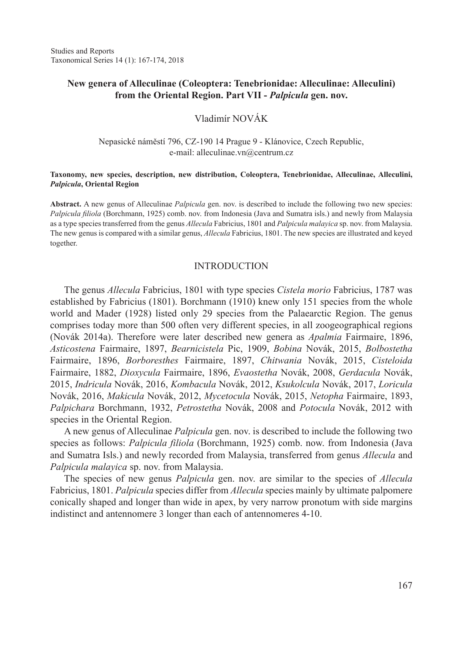# **New genera of Alleculinae (Coleoptera: Tenebrionidae: Alleculinae: Alleculini) from the Oriental Region. Part VII -** *Palpicula* **gen. nov.**

# Vladimír NOVÁK

## Nepasické náměstí 796, CZ-190 14 Prague 9 - Klánovice, Czech Republic, e-mail: alleculinae.vn@centrum.cz

#### **Taxonomy, new species, description, new distribution, Coleoptera, Tenebrionidae, Alleculinae, Alleculini,**  *Palpicula***, Oriental Region**

**Abstract.** A new genus of Alleculinae *Palpicula* gen. nov. is described to include the following two new species: *Palpicula filiola* (Borchmann, 1925) comb. nov. from Indonesia (Java and Sumatra isls.) and newly from Malaysia as a type species transferred from the genus *Allecula* Fabricius, 1801 and *Palpicula malayica* sp. nov. from Malaysia. The new genus is compared with a similar genus, *Allecula* Fabricius, 1801. The new species are illustrated and keyed together.

## INTRODUCTION

The genus *Allecula* Fabricius, 1801 with type species *Cistela morio* Fabricius, 1787 was established by Fabricius (1801). Borchmann (1910) knew only 151 species from the whole world and Mader (1928) listed only 29 species from the Palaearctic Region. The genus comprises today more than 500 often very different species, in all zoogeographical regions (Novák 2014a). Therefore were later described new genera as *Apalmia* Fairmaire, 1896, *Asticostena* Fairmaire, 1897, *Bearnicistela* Pic, 1909, *Bobina* Novák, 2015, *Bolbostetha*  Fairmaire, 1896, *Borboresthes* Fairmaire, 1897, *Chitwania* Novák, 2015, *Cisteloida*  Fairmaire, 1882, *Dioxycula* Fairmaire, 1896, *Evaostetha* Novák, 2008, *Gerdacula* Novák, 2015, *Indricula* Novák, 2016, *Kombacula* Novák, 2012, *Ksukolcula* Novák, 2017, *Loricula*  Novák, 2016, *Makicula* Novák, 2012, *Mycetocula* Novák, 2015, *Netopha* Fairmaire, 1893, *Palpichara* Borchmann, 1932, *Petrostetha* Novák, 2008 and *Potocula* Novák, 2012 with species in the Oriental Region.

A new genus of Alleculinae *Palpicula* gen. nov. is described to include the following two species as follows: *Palpicula filiola* (Borchmann, 1925) comb. now. from Indonesia (Java and Sumatra Isls.) and newly recorded from Malaysia, transferred from genus *Allecula* and *Palpicula malayica* sp. nov. from Malaysia.

The species of new genus *Palpicula* gen. nov. are similar to the species of *Allecula* Fabricius, 1801. *Palpicula* species differ from *Allecula* species mainly by ultimate palpomere conically shaped and longer than wide in apex, by very narrow pronotum with side margins indistinct and antennomere 3 longer than each of antennomeres 4-10.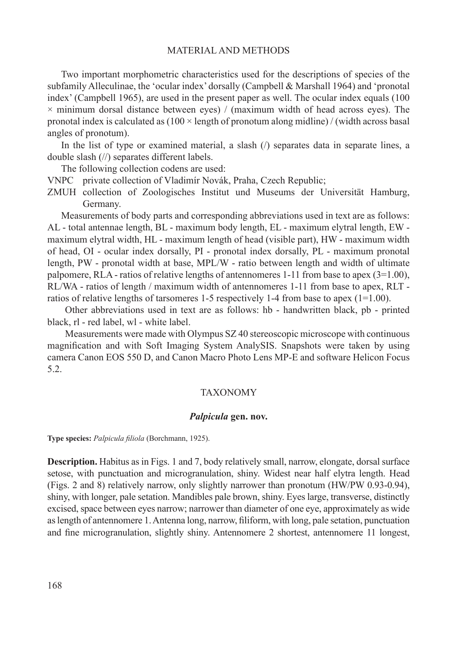## MATERIAL AND METHODS

Two important morphometric characteristics used for the descriptions of species of the subfamily Alleculinae, the 'ocular index' dorsally (Campbell & Marshall 1964) and 'pronotal index' (Campbell 1965), are used in the present paper as well. The ocular index equals (100  $\times$  minimum dorsal distance between eyes) / (maximum width of head across eyes). The pronotal index is calculated as  $(100 \times \text{length of pronotum along midline})$  / (width across basal angles of pronotum).

In the list of type or examined material, a slash  $($ ) separates data in separate lines, a double slash (//) separates different labels.

The following collection codens are used:

- VNPC private collection of Vladimír Novák, Praha, Czech Republic;
- ZMUH collection of Zoologisches Institut und Museums der Universität Hamburg, Germany.

Measurements of body parts and corresponding abbreviations used in text are as follows: AL - total antennae length, BL - maximum body length, EL - maximum elytral length, EW maximum elytral width, HL - maximum length of head (visible part), HW - maximum width of head, OI - ocular index dorsally, PI - pronotal index dorsally, PL - maximum pronotal length, PW - pronotal width at base, MPL/W - ratio between length and width of ultimate palpomere, RLA - ratios of relative lengths of antennomeres  $1-11$  from base to apex  $(3=1.00)$ , RL/WA - ratios of length / maximum width of antennomeres 1-11 from base to apex, RLT ratios of relative lengths of tarsomeres 1-5 respectively 1-4 from base to apex  $(1=1.00)$ .

Other abbreviations used in text are as follows: hb - handwritten black, pb - printed black, rl - red label, wl - white label.

Measurements were made with Olympus SZ 40 stereoscopic microscope with continuous magnification and with Soft Imaging System AnalySIS. Snapshots were taken by using camera Canon EOS 550 D, and Canon Macro Photo Lens MP-E and software Helicon Focus 5.2.

#### TAXONOMY

## *Palpicula* **gen. nov.**

**Type species:** *Palpicula filiola* (Borchmann, 1925).

**Description.** Habitus as in Figs. 1 and 7, body relatively small, narrow, elongate, dorsal surface setose, with punctuation and microgranulation, shiny. Widest near half elytra length. Head (Figs. 2 and 8) relatively narrow, only slightly narrower than pronotum (HW/PW 0.93-0.94), shiny, with longer, pale setation. Mandibles pale brown, shiny. Eyes large, transverse, distinctly excised, space between eyes narrow; narrower than diameter of one eye, approximately as wide as length of antennomere 1. Antenna long, narrow, filiform, with long, pale setation, punctuation and fine microgranulation, slightly shiny. Antennomere 2 shortest, antennomere 11 longest,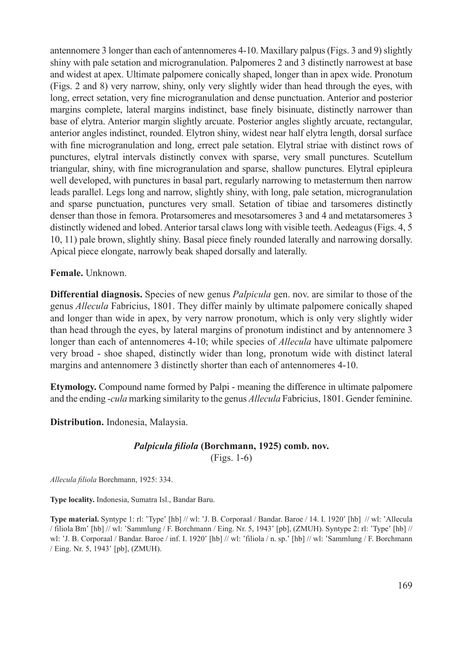antennomere 3 longer than each of antennomeres 4-10. Maxillary palpus (Figs. 3 and 9) slightly shiny with pale setation and microgranulation. Palpomeres 2 and 3 distinctly narrowest at base and widest at apex. Ultimate palpomere conically shaped, longer than in apex wide. Pronotum (Figs. 2 and 8) very narrow, shiny, only very slightly wider than head through the eyes, with long, errect setation, very fine microgranulation and dense punctuation. Anterior and posterior margins complete, lateral margins indistinct, base finely bisinuate, distinctly narrower than base of elytra. Anterior margin slightly arcuate. Posterior angles slightly arcuate, rectangular, anterior angles indistinct, rounded. Elytron shiny, widest near half elytra length, dorsal surface with fine microgranulation and long, errect pale setation. Elytral striae with distinct rows of punctures, elytral intervals distinctly convex with sparse, very small punctures. Scutellum triangular, shiny, with fine microgranulation and sparse, shallow punctures. Elytral epipleura well developed, with punctures in basal part, regularly narrowing to metasternum then narrow leads parallel. Legs long and narrow, slightly shiny, with long, pale setation, microgranulation and sparse punctuation, punctures very small. Setation of tibiae and tarsomeres distinctly denser than those in femora. Protarsomeres and mesotarsomeres 3 and 4 and metatarsomeres 3 distinctly widened and lobed. Anterior tarsal claws long with visible teeth. Aedeagus (Figs. 4, 5 10, 11) pale brown, slightly shiny. Basal piece finely rounded laterally and narrowing dorsally. Apical piece elongate, narrowly beak shaped dorsally and laterally.

**Female.** Unknown.

**Differential diagnosis.** Species of new genus *Palpicula* gen. nov. are similar to those of the genus *Allecula* Fabricius, 1801. They differ mainly by ultimate palpomere conically shaped and longer than wide in apex, by very narrow pronotum, which is only very slightly wider than head through the eyes, by lateral margins of pronotum indistinct and by antennomere 3 longer than each of antennomeres 4-10; while species of *Allecula* have ultimate palpomere very broad - shoe shaped, distinctly wider than long, pronotum wide with distinct lateral margins and antennomere 3 distinctly shorter than each of antennomeres 4-10.

**Etymology.** Compound name formed by Palpi - meaning the difference in ultimate palpomere and the ending -*cula* marking similarity to the genus *Allecula* Fabricius, 1801. Gender feminine.

**Distribution.** Indonesia, Malaysia.

## *Palpicula filiola* **(Borchmann, 1925) comb. nov.** (Figs. 1-6)

*Allecula filiola* Borchmann, 1925: 334.

**Type locality.** Indonesia, Sumatra Isl., Bandar Baru.

**Type material.** Syntype 1: rl: 'Type' [hb] // wl: 'J. B. Corporaal / Bandar. Baroe / 14. I. 1920' [hb] // wl: 'Allecula / filiola Bm' [hb] // wl: 'Sammlung / F. Borchmann / Eing. Nr. 5, 1943' [pb], (ZMUH). Syntype 2: rl: 'Type' [hb] // wl: 'J. B. Corporaal / Bandar. Baroe / inf. I. 1920' [hb] // wl: 'filiola / n. sp.' [hb] // wl: 'Sammlung / F. Borchmann / Eing. Nr. 5, 1943' [pb], (ZMUH).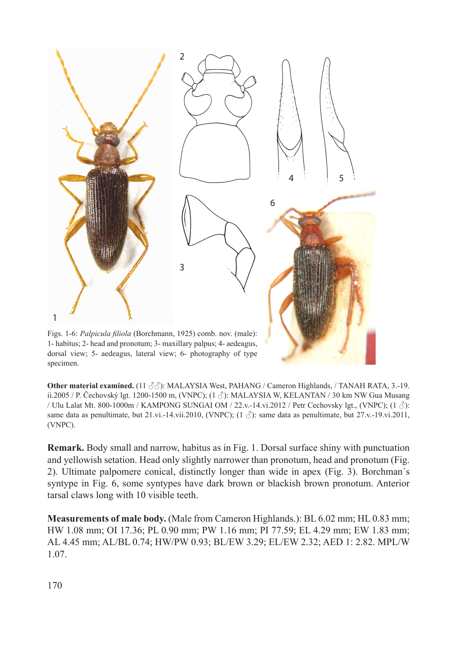

dorsal view; 5- aedeagus, lateral view; 6- photography of type specimen.

**Other material examined.** (11 ♂♂): MALAYSIA West, PAHANG / Cameron Highlands, / TANAH RATA, 3.-19. ii.2005 / P. Čechovský lgt. 1200-1500 m, (VNPC);  $(1 \text{ } \delta)$ : MALAYSIA W, KELANTAN / 30 km NW Gua Musang / Ulu Lalat Mt. 800-1000m / KAMPONG SUNGAI OM / 22.v.-14.vi.2012 / Petr Cechovsky lgt., (VNPC); (1 ♂): same data as penultimate, but 21.vi.-14.vii.2010, (VNPC);  $(1 \text{ } \textdegree)$ : same data as penultimate, but 27.v.-19.vi.2011, (VNPC).

**Remark.** Body small and narrow, habitus as in Fig. 1. Dorsal surface shiny with punctuation and yellowish setation. Head only slightly narrower than pronotum, head and pronotum (Fig. 2). Ultimate palpomere conical, distinctly longer than wide in apex (Fig. 3). Borchman´s syntype in Fig. 6, some syntypes have dark brown or blackish brown pronotum. Anterior tarsal claws long with 10 visible teeth.

**Measurements of male body.** (Male from Cameron Highlands.): BL 6.02 mm; HL 0.83 mm; HW 1.08 mm; OI 17.36; PL 0.90 mm; PW 1.16 mm; PI 77.59; EL 4.29 mm; EW 1.83 mm; AL 4.45 mm; AL/BL 0.74; HW/PW 0.93; BL/EW 3.29; EL/EW 2.32; AED 1: 2.82. MPL/W 1.07.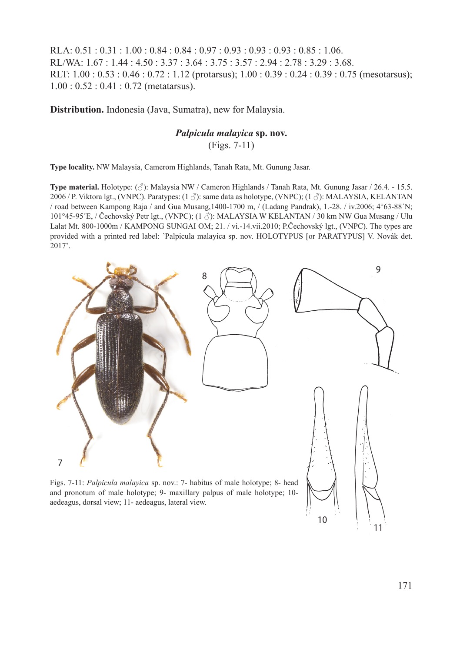RLA: 0.51 : 0.31 : 1.00 : 0.84 : 0.84 : 0.97 : 0.93 : 0.93 : 0.93 : 0.85 : 1.06. RL/WA: 1.67 : 1.44 : 4.50 : 3.37 : 3.64 : 3.75 : 3.57 : 2.94 : 2.78 : 3.29 : 3.68. RLT: 1.00 : 0.53 : 0.46 : 0.72 : 1.12 (protarsus); 1.00 : 0.39 : 0.24 : 0.39 : 0.75 (mesotarsus); 1.00 : 0.52 : 0.41 : 0.72 (metatarsus).

**Distribution.** Indonesia (Java, Sumatra), new for Malaysia.

# *Palpicula malayica* **sp. nov.**

(Figs. 7-11)

**Type locality.** NW Malaysia, Camerom Highlands, Tanah Rata, Mt. Gunung Jasar.

**Type material.** Holotype: (♂): Malaysia NW / Cameron Highlands / Tanah Rata, Mt. Gunung Jasar / 26.4. - 15.5. 2006 / P. Viktora lgt., (VNPC). Paratypes: (1 ♂): same data as holotype, (VNPC); (1 ♂): MALAYSIA, KELANTAN / road between Kampong Raja / and Gua Musang,1400-1700 m, / (Ladang Pandrak), 1.-28. / iv.2006; 4°63-88´N; 101°45-95´E, / Čechovský Petr lgt., (VNPC); (1 ♂): MALAYSIA W KELANTAN / 30 km NW Gua Musang / Ulu Lalat Mt. 800-1000m / KAMPONG SUNGAI OM; 21. / vi.-14.vii.2010; P.Čechovský lgt., (VNPC). The types are provided with a printed red label: 'Palpicula malayica sp. nov. HOLOTYPUS [or PARATYPUS] V. Novák det.  $2017^{\circ}$ .



aedeagus, dorsal view; 11- aedeagus, lateral view.

11

10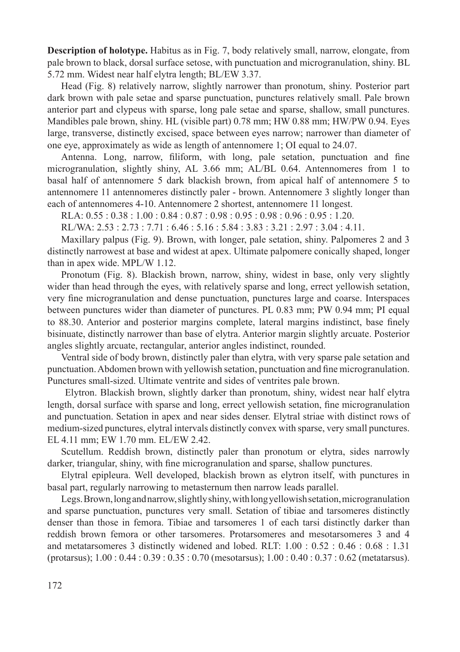**Description of holotype.** Habitus as in Fig. 7, body relatively small, narrow, elongate, from pale brown to black, dorsal surface setose, with punctuation and microgranulation, shiny. BL 5.72 mm. Widest near half elytra length; BL/EW 3.37.

Head (Fig. 8) relatively narrow, slightly narrower than pronotum, shiny. Posterior part dark brown with pale setae and sparse punctuation, punctures relatively small. Pale brown anterior part and clypeus with sparse, long pale setae and sparse, shallow, small punctures. Mandibles pale brown, shiny. HL (visible part) 0.78 mm; HW 0.88 mm; HW/PW 0.94. Eyes large, transverse, distinctly excised, space between eyes narrow; narrower than diameter of one eye, approximately as wide as length of antennomere 1; OI equal to 24.07.

Antenna. Long, narrow, filiform, with long, pale setation, punctuation and fine microgranulation, slightly shiny, AL 3.66 mm; AL/BL 0.64. Antennomeres from 1 to basal half of antennomere 5 dark blackish brown, from apical half of antennomere 5 to antennomere 11 antennomeres distinctly paler - brown. Antennomere 3 slightly longer than each of antennomeres 4-10. Antennomere 2 shortest, antennomere 11 longest.

RLA: 0.55 : 0.38 : 1.00 : 0.84 : 0.87 : 0.98 : 0.95 : 0.98 : 0.96 : 0.95 : 1.20.

RL/WA: 2.53 : 2.73 : 7.71 : 6.46 : 5.16 : 5.84 : 3.83 : 3.21 : 2.97 : 3.04 : 4.11.

Maxillary palpus (Fig. 9). Brown, with longer, pale setation, shiny. Palpomeres 2 and 3 distinctly narrowest at base and widest at apex. Ultimate palpomere conically shaped, longer than in apex wide. MPL/W 1.12.

Pronotum (Fig. 8). Blackish brown, narrow, shiny, widest in base, only very slightly wider than head through the eyes, with relatively sparse and long, errect yellowish setation, very fine microgranulation and dense punctuation, punctures large and coarse. Interspaces between punctures wider than diameter of punctures. PL 0.83 mm; PW 0.94 mm; PI equal to 88.30. Anterior and posterior margins complete, lateral margins indistinct, base finely bisinuate, distinctly narrower than base of elytra. Anterior margin slightly arcuate. Posterior angles slightly arcuate, rectangular, anterior angles indistinct, rounded.

Ventral side of body brown, distinctly paler than elytra, with very sparse pale setation and punctuation. Abdomen brown with yellowish setation, punctuation and fine microgranulation. Punctures small-sized. Ultimate ventrite and sides of ventrites pale brown.

Elytron. Blackish brown, slightly darker than pronotum, shiny, widest near half elytra length, dorsal surface with sparse and long, errect yellowish setation, fine microgranulation and punctuation. Setation in apex and near sides denser. Elytral striae with distinct rows of medium-sized punctures, elytral intervals distinctly convex with sparse, very small punctures. EL 4.11 mm; EW 1.70 mm. EL/EW 2.42.

Scutellum. Reddish brown, distinctly paler than pronotum or elytra, sides narrowly darker, triangular, shiny, with fine microgranulation and sparse, shallow punctures.

Elytral epipleura. Well developed, blackish brown as elytron itself, with punctures in basal part, regularly narrowing to metasternum then narrow leads parallel.

Legs. Brown, long and narrow, slightly shiny, with long yellowish setation, microgranulation and sparse punctuation, punctures very small. Setation of tibiae and tarsomeres distinctly denser than those in femora. Tibiae and tarsomeres 1 of each tarsi distinctly darker than reddish brown femora or other tarsomeres. Protarsomeres and mesotarsomeres 3 and 4 and metatarsomeres 3 distinctly widened and lobed. RLT: 1.00 : 0.52 : 0.46 : 0.68 : 1.31 (protarsus); 1.00 : 0.44 : 0.39 : 0.35 : 0.70 (mesotarsus); 1.00 : 0.40 : 0.37 : 0.62 (metatarsus).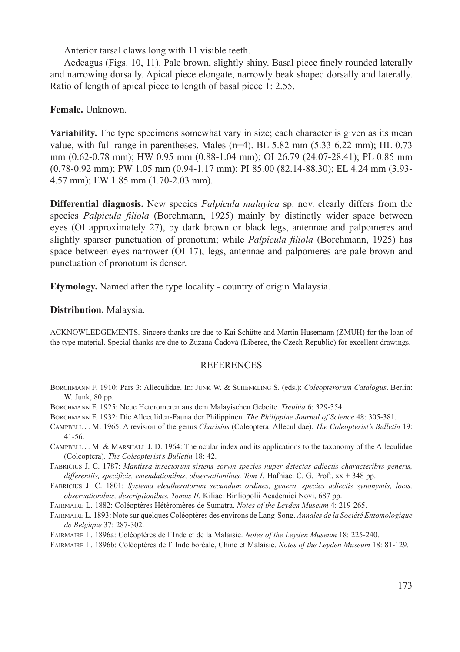Anterior tarsal claws long with 11 visible teeth.

Aedeagus (Figs. 10, 11). Pale brown, slightly shiny. Basal piece finely rounded laterally and narrowing dorsally. Apical piece elongate, narrowly beak shaped dorsally and laterally. Ratio of length of apical piece to length of basal piece 1: 2.55.

## **Female.** Unknown.

**Variability.** The type specimens somewhat vary in size; each character is given as its mean value, with full range in parentheses. Males  $(n=4)$ . BL 5.82 mm  $(5.33-6.22 \text{ mm})$ ; HL 0.73 mm (0.62-0.78 mm); HW 0.95 mm (0.88-1.04 mm); OI 26.79 (24.07-28.41); PL 0.85 mm (0.78-0.92 mm); PW 1.05 mm (0.94-1.17 mm); PI 85.00 (82.14-88.30); EL 4.24 mm (3.93- 4.57 mm); EW 1.85 mm (1.70-2.03 mm).

**Differential diagnosis.** New species *Palpicula malayica* sp. nov. clearly differs from the species *Palpicula filiola* (Borchmann, 1925) mainly by distinctly wider space between eyes (OI approximately 27), by dark brown or black legs, antennae and palpomeres and slightly sparser punctuation of pronotum; while *Palpicula filiola* (Borchmann, 1925) has space between eyes narrower (OI 17), legs, antennae and palpomeres are pale brown and punctuation of pronotum is denser.

**Etymology.** Named after the type locality - country of origin Malaysia.

#### **Distribution.** Malaysia.

ACKNOWLEDGEMENTS. Sincere thanks are due to Kai Schütte and Martin Husemann (ZMUH) for the loan of the type material. Special thanks are due to Zuzana Čadová (Liberec, the Czech Republic) for excellent drawings.

#### **REFERENCES**

- Borchmann F. 1910: Pars 3: Alleculidae. In: Junk W. & Schenkling S. (eds.): *Coleopterorum Catalogus*. Berlin: W. Junk, 80 pp.
- Borchmann F. 1925: Neue Heteromeren aus dem Malayischen Gebeite. *Treubia* 6: 329-354.
- Borchmann F. 1932: Die Alleculiden-Fauna der Philippinen. *The Philippine Journal of Science* 48: 305-381.
- Campbell J. M. 1965: A revision of the genus *Charisius* (Coleoptera: Alleculidae). *The Coleopterist's Bulletin* 19: 41-56.
- Campbell J. M. & Marshall J. D. 1964: The ocular index and its applications to the taxonomy of the Alleculidae (Coleoptera). *The Coleopterist's Bulletin* 18: 42.
- Fabricius J. C. 1787: *Mantissa insectorum sistens eorvm species nuper detectas adiectis characteribvs generis,*  differentiis, specificis, emendationibus, observationibus. Tom 1. Hafniae: C. G. Proft, xx + 348 pp.
- Fabricius J. C. 1801: *Systema eleutheratorum secundum ordines, genera, species adiectis synonymis, locis, observationibus, descriptionibus. Tomus II.* Kiliae: Binliopolii Academici Novi, 687 pp.
- Fairmaire L. 1882: Coléoptères Hétéromères de Sumatra. *Notes of the Leyden Museum* 4: 219-265.
- Fairmaire L. 1893: Note sur quelques Coléoptères des environs de Lang-Song. *Annales de la Société Entomologique de Belgique* 37: 287-302.
- Fairmaire L. 1896a: Coléoptères de l´Inde et de la Malaisie. *Notes of the Leyden Museum* 18: 225-240.
- Fairmaire L. 1896b: Coléoptères de l´ Inde boréale, Chine et Malaisie. *Notes of the Leyden Museum* 18: 81-129.